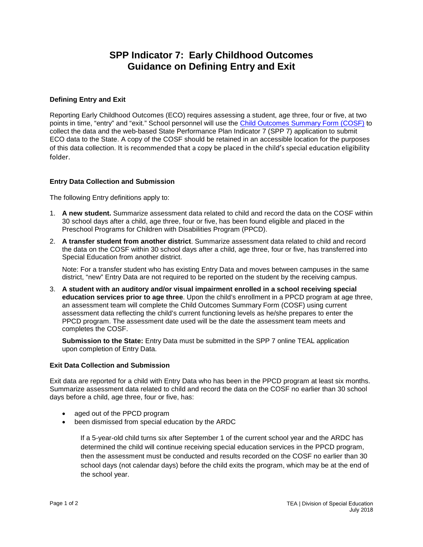## **SPP Indicator 7: Early Childhood Outcomes Guidance on Defining Entry and Exit**

## **Defining Entry and Exit**

Reporting Early Childhood Outcomes (ECO) requires assessing a student, age three, four or five, at two points in time, "entry" and "exit." School personnel will use the [Child Outcomes Summary Form \(COSF\)](http://ecoutcomes.fpg.unc.edu/resources/child-outcomes-summary-cos-forms) to collect the data and the web-based State Performance Plan Indicator 7 (SPP 7) application to submit ECO data to the State. A copy of the COSF should be retained in an accessible location for the purposes of this data collection. It is recommended that a copy be placed in the child's special education eligibility folder.

## **Entry Data Collection and Submission**

The following Entry definitions apply to:

- 1. **A new student.** Summarize assessment data related to child and record the data on the COSF within 30 school days after a child, age three, four or five, has been found eligible and placed in the Preschool Programs for Children with Disabilities Program (PPCD).
- 2. **A transfer student from another district**. Summarize assessment data related to child and record the data on the COSF within 30 school days after a child, age three, four or five, has transferred into Special Education from another district.

Note: For a transfer student who has existing Entry Data and moves between campuses in the same district, "new" Entry Data are not required to be reported on the student by the receiving campus.

3. **A student with an auditory and/or visual impairment enrolled in a school receiving special education services prior to age three**. Upon the child's enrollment in a PPCD program at age three, an assessment team will complete the Child Outcomes Summary Form (COSF) using current assessment data reflecting the child's current functioning levels as he/she prepares to enter the PPCD program. The assessment date used will be the date the assessment team meets and completes the COSF.

**Submission to the State:** Entry Data must be submitted in the SPP 7 online TEAL application upon completion of Entry Data.

## **Exit Data Collection and Submission**

Exit data are reported for a child with Entry Data who has been in the PPCD program at least six months. Summarize assessment data related to child and record the data on the COSF no earlier than 30 school days before a child, age three, four or five, has:

- aged out of the PPCD program
- been dismissed from special education by the ARDC

If a 5-year-old child turns six after September 1 of the current school year and the ARDC has determined the child will continue receiving special education services in the PPCD program, then the assessment must be conducted and results recorded on the COSF no earlier than 30 school days (not calendar days) before the child exits the program, which may be at the end of the school year.